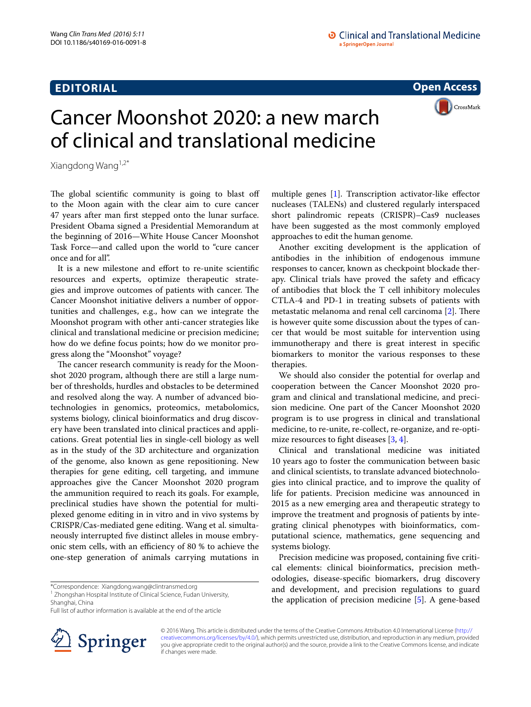## **EDITORIAL**

**Open Access**

**CrossMark** 



Xiangdong Wang1,2\*

The global scientific community is going to blast off to the Moon again with the clear aim to cure cancer 47 years after man first stepped onto the lunar surface. President Obama signed a Presidential Memorandum at the beginning of 2016—White House Cancer Moonshot Task Force—and called upon the world to "cure cancer once and for all".

It is a new milestone and effort to re-unite scientific resources and experts, optimize therapeutic strategies and improve outcomes of patients with cancer. The Cancer Moonshot initiative delivers a number of opportunities and challenges, e.g., how can we integrate the Moonshot program with other anti-cancer strategies like clinical and translational medicine or precision medicine; how do we define focus points; how do we monitor progress along the "Moonshot" voyage?

The cancer research community is ready for the Moonshot 2020 program, although there are still a large number of thresholds, hurdles and obstacles to be determined and resolved along the way. A number of advanced biotechnologies in genomics, proteomics, metabolomics, systems biology, clinical bioinformatics and drug discovery have been translated into clinical practices and applications. Great potential lies in single-cell biology as well as in the study of the 3D architecture and organization of the genome, also known as gene repositioning. New therapies for gene editing, cell targeting, and immune approaches give the Cancer Moonshot 2020 program the ammunition required to reach its goals. For example, preclinical studies have shown the potential for multiplexed genome editing in in vitro and in vivo systems by CRISPR/Cas-mediated gene editing. Wang et al. simultaneously interrupted five distinct alleles in mouse embryonic stem cells, with an efficiency of 80 % to achieve the one-step generation of animals carrying mutations in

\*Correspondence: Xiangdong.wang@clintransmed.org

<sup>1</sup> Zhongshan Hospital Institute of Clinical Science, Fudan University, Shanghai, China

Full list of author information is available at the end of the article



multiple genes [[1\]](#page-1-0). Transcription activator-like effector nucleases (TALENs) and clustered regularly interspaced short palindromic repeats (CRISPR)–Cas9 nucleases have been suggested as the most commonly employed approaches to edit the human genome.

Another exciting development is the application of antibodies in the inhibition of endogenous immune responses to cancer, known as checkpoint blockade therapy. Clinical trials have proved the safety and efficacy of antibodies that block the T cell inhibitory molecules CTLA-4 and PD-1 in treating subsets of patients with metastatic melanoma and renal cell carcinoma [\[2\]](#page-1-1). There is however quite some discussion about the types of cancer that would be most suitable for intervention using immunotherapy and there is great interest in specific biomarkers to monitor the various responses to these therapies.

We should also consider the potential for overlap and cooperation between the Cancer Moonshot 2020 program and clinical and translational medicine, and precision medicine. One part of the Cancer Moonshot 2020 program is to use progress in clinical and translational medicine, to re-unite, re-collect, re-organize, and re-optimize resources to fight diseases [\[3](#page-1-2), [4\]](#page-1-3).

Clinical and translational medicine was initiated 10 years ago to foster the communication between basic and clinical scientists, to translate advanced biotechnologies into clinical practice, and to improve the quality of life for patients. Precision medicine was announced in 2015 as a new emerging area and therapeutic strategy to improve the treatment and prognosis of patients by integrating clinical phenotypes with bioinformatics, computational science, mathematics, gene sequencing and systems biology.

Precision medicine was proposed, containing five critical elements: clinical bioinformatics, precision methodologies, disease-specific biomarkers, drug discovery and development, and precision regulations to guard the application of precision medicine [[5\]](#page-1-4). A gene-based

© 2016 Wang. This article is distributed under the terms of the Creative Commons Attribution 4.0 International License ([http://](http://creativecommons.org/licenses/by/4.0/) [creativecommons.org/licenses/by/4.0/](http://creativecommons.org/licenses/by/4.0/)), which permits unrestricted use, distribution, and reproduction in any medium, provided you give appropriate credit to the original author(s) and the source, provide a link to the Creative Commons license, and indicate if changes were made.